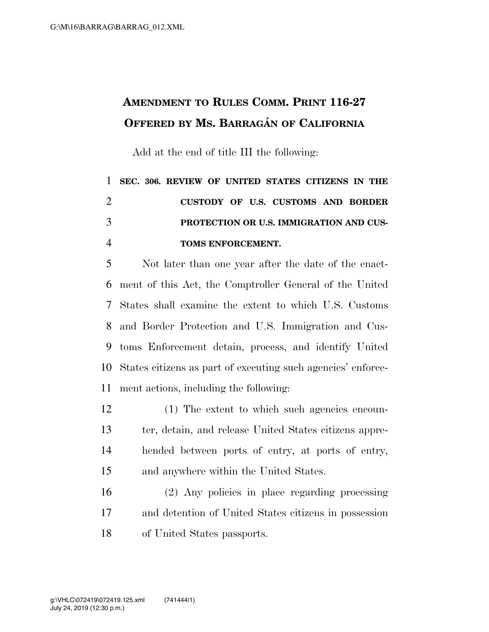## **AMENDMENT TO RULES COMM. PRINT 116-27 OFFERED BY MS. BARRAGA´ N OF CALIFORNIA**

Add at the end of title III the following:

## **SEC. 306. REVIEW OF UNITED STATES CITIZENS IN THE CUSTODY OF U.S. CUSTOMS AND BORDER PROTECTION OR U.S. IMMIGRATION AND CUS-TOMS ENFORCEMENT.**

 Not later than one year after the date of the enact- ment of this Act, the Comptroller General of the United States shall examine the extent to which U.S. Customs and Border Protection and U.S. Immigration and Cus- toms Enforcement detain, process, and identify United States citizens as part of executing such agencies' enforce-ment actions, including the following:

 (1) The extent to which such agencies encoun- ter, detain, and release United States citizens appre- hended between ports of entry, at ports of entry, and anywhere within the United States.

 (2) Any policies in place regarding processing and detention of United States citizens in possession of United States passports.